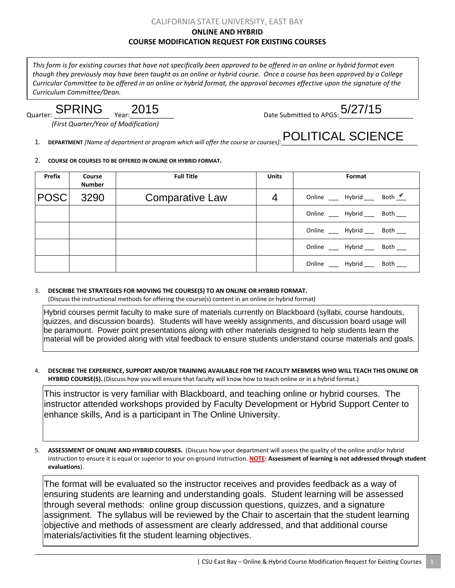## CALIFORNIA STATE UNIVERSITY, EAST BAY **ONLINE AND HYBRID COURSE MODIFICATION REQUEST FOR EXISTING COURSES**

*This form is for existing courses that have not specifically been approved to be offered in an online or hybrid format even though they previously may have been taught as an online or hybrid course. Once a course has been approved by a College Curricular Committee to be offered in an online or hybrid format, the approval becomes effective upon the signature of the Curriculum Committee/Dean.*

Quarter: CONNECT Year: CONNECT YOU WE ARREST DATE: THE Date Submitted to APGS: CONNECT I Date Submitted to APGS: 5/27/15

*(First Quarter/Year of Modification)*

- 1. **DEPARTMENT** [Name of department or program which will offer the course or courses]: POLITICAL SCIENCE
- 2. **COURSE OR COURSES TO BE OFFERED IN ONLINE OR HYBRID FORMAT.**

| Prefix      | Course<br><b>Number</b> | <b>Full Title</b>      | <b>Units</b> | Format                              |
|-------------|-------------------------|------------------------|--------------|-------------------------------------|
| <b>POSC</b> | 3290                    | <b>Comparative Law</b> | 4            | Online ____ Hybrid ____ Both        |
|             |                         |                        |              | Online _____ Hybrid _____ Both ____ |
|             |                         |                        |              | Online _____ Hybrid _____ Both ____ |
|             |                         |                        |              | Online _____ Hybrid _____ Both ____ |
|             |                         |                        |              | Online Hybrid Both                  |

## 3. **DESCRIBE THE STRATEGIES FOR MOVING THE COURSE(S) TO AN ONLINE OR HYBRID FORMAT.**

(Discuss the instructional methods for offering the course(s) content in an online or hybrid format)

Hybrid courses permit faculty to make sure of materials currently on Blackboard (syllabi, course handouts, quizzes, and discussion boards). Students will have weekly assignments, and discussion board usage will be paramount. Power point presentations along with other materials designed to help students learn the material will be provided along with vital feedback to ensure students understand course materials and goals.

4. **DESCRIBE THE EXPERIENCE, SUPPORT AND/OR TRAINING AVAILABLE FOR THE FACULTY MEBMERS WHO WILL TEACH THIS ONLINE OR HYBRID COURSE(S).** (Discuss how you will ensure that faculty will know how to teach online or in a hybrid format.)

This instructor is very familiar with Blackboard, and teaching online or hybrid courses. The instructor attended workshops provided by Faculty Development or Hybrid Support Center to enhance skills, And is a participant in The Online University.

5. **ASSESSMENT OF ONLINE AND HYBRID COURSES.** (Discuss how your department will assess the quality of the online and/or hybrid instruction to ensure it is equal or superior to your on-ground instruction. **NOTE: Assessment of learning is not addressed through student evaluations**).

The format will be evaluated so the instructor receives and provides feedback as a way of ensuring students are learning and understanding goals. Student learning will be assessed through several methods: online group discussion questions, quizzes, and a signature assignment. The syllabus will be reviewed by the Chair to ascertain that the student learning objective and methods of assessment are clearly addressed, and that additional course materials/activities fit the student learning objectives.